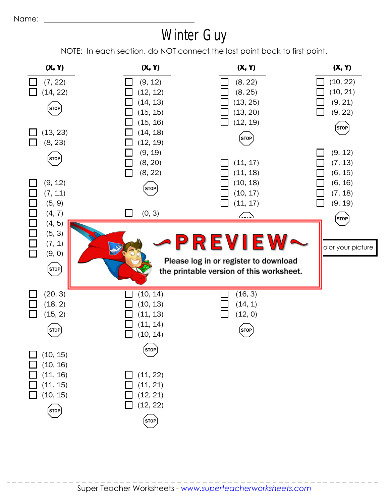## Winter Guy

NOTE: In each section, do NOT connect the last point back to first point.

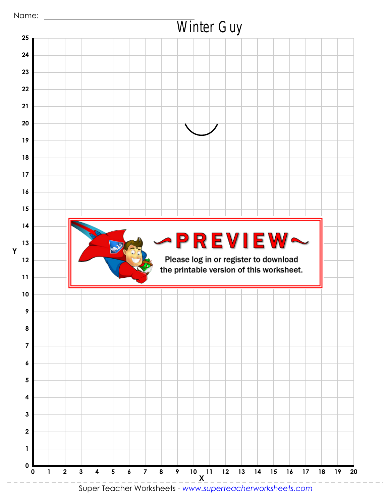

Super Teacher Worksheets - *www.superteacherworksheets.com*